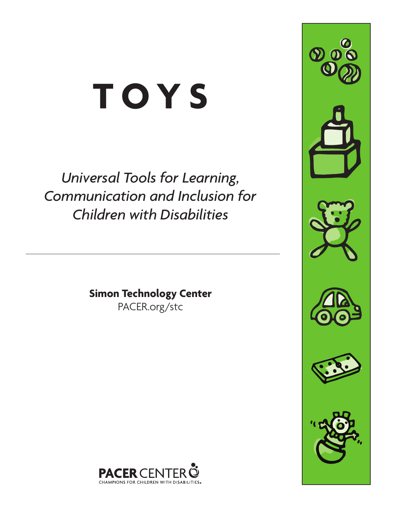# **TOYS**

*Universal Tools for Learning, Communication and Inclusion for Children with Disabilities*

> **Simon Technology Center** PACER.org/stc







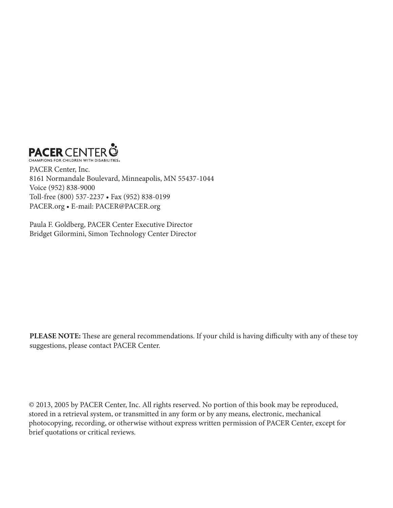

PACER Center, Inc. 8161 Normandale Boulevard, Minneapolis, MN 55437-1044 Voice (952) 838-9000 Toll-free (800) 537-2237 • Fax (952) 838-0199 PACER.org • E-mail: PACER@PACER.org

Paula F. Goldberg, PACER Center Executive Director Bridget Gilormini, Simon Technology Center Director

PLEASE NOTE: These are general recommendations. If your child is having difficulty with any of these toy suggestions, please contact PACER Center.

© 2013, 2005 by PACER Center, Inc. All rights reserved. No portion of this book may be reproduced, stored in a retrieval system, or transmitted in any form or by any means, electronic, mechanical photocopying, recording, or otherwise without express written permission of PACER Center, except for brief quotations or critical reviews.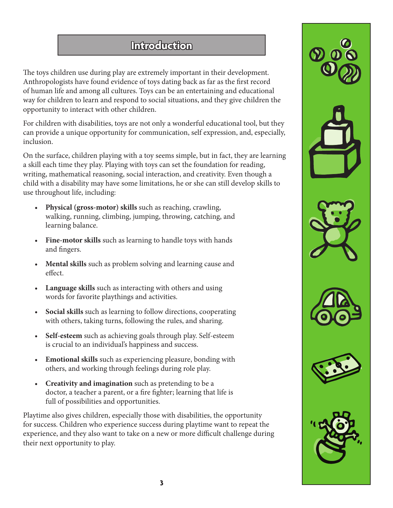## **Introduction**

The toys children use during play are extremely important in their development. Anthropologists have found evidence of toys dating back as far as the first record of human life and among all cultures. Toys can be an entertaining and educational way for children to learn and respond to social situations, and they give children the opportunity to interact with other children.

For children with disabilities, toys are not only a wonderful educational tool, but they can provide a unique opportunity for communication, self expression, and, especially, inclusion.

On the surface, children playing with a toy seems simple, but in fact, they are learning a skill each time they play. Playing with toys can set the foundation for reading, writing, mathematical reasoning, social interaction, and creativity. Even though a child with a disability may have some limitations, he or she can still develop skills to use throughout life, including:

- **Physical (gross-motor) skills** such as reaching, crawling, walking, running, climbing, jumping, throwing, catching, and learning balance.
- Fine-motor skills such as learning to handle toys with hands and fingers.
- **Mental skills** such as problem solving and learning cause and effect.
- **Language skills** such as interacting with others and using words for favorite playthings and activities.
- **Social skills** such as learning to follow directions, cooperating with others, taking turns, following the rules, and sharing.
- **Self-esteem** such as achieving goals through play. Self-esteem is crucial to an individual's happiness and success.
- **Emotional skills** such as experiencing pleasure, bonding with others, and working through feelings during role play.
- **Creativity and imagination** such as pretending to be a doctor, a teacher a parent, or a fire fighter; learning that life is full of possibilities and opportunities.

Playtime also gives children, especially those with disabilities, the opportunity for success. Children who experience success during playtime want to repeat the experience, and they also want to take on a new or more difficult challenge during their next opportunity to play.











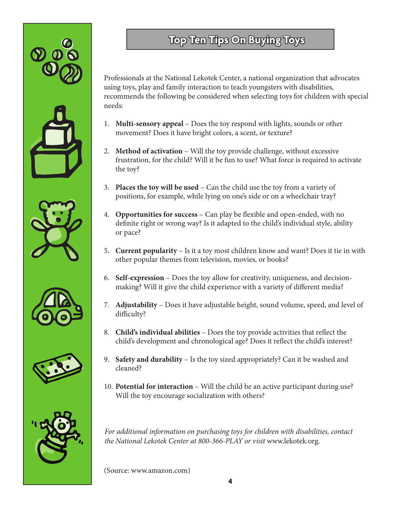











# **Top Ten Tips On Buying Toys**

Professionals at the National Lekotek Center, a national organization that advocates using toys, play and family interaction to teach youngsters with disabilities, recommends the following be considered when selecting toys for children with special needs:

- 1. **Multi-sensory appeal** Does the toy respond with lights, sounds or other movement? Does it have bright colors, a scent, or texture?
- 2. **Method of activation** Will the toy provide challenge, without excessive frustration, for the child? Will it be fun to use? What force is required to activate the toy?
- 3. **Places the toy will be used** Can the child use the toy from a variety of positions, for example, while lying on one's side or on a wheelchair tray?
- 4. **Opportunities for success** Can play be flexible and open-ended, with no definite right or wrong way? Is it adapted to the child's individual style, ability or pace?
- 5. **Current popularity** Is it a toy most children know and want? Does it tie in with other popular themes from television, movies, or books?
- 6. **Self-expression** Does the toy allow for creativity, uniqueness, and decisionmaking? Will it give the child experience with a variety of different media?
- 7. **Adjustability** Does it have adjustable height, sound volume, speed, and level of difficulty?
- 8. **Child's individual abilities** Does the toy provide activities that reflect the child's development and chronological age? Does it reflect the child's interest?
- 9. **Safety and durability** Is the toy sized appropriately? Can it be washed and cleaned?
- 10. **Potential for interaction** Will the child be an active participant during use? Will the toy encourage socialization with others?

*For additional information on purchasing toys for children with disabilities, contact the National Lekotek Center at 800-366-PLAY or visit* www.lekotek.org*.*

(Source: www.amazon.com)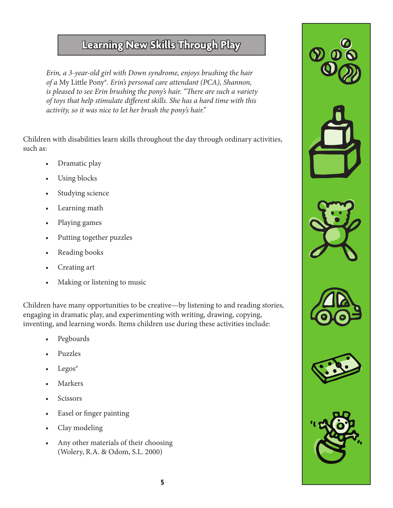# **Learning New Skills Through Play**

*Erin, a 3-year-old girl with Down syndrome, enjoys brushing the hair of a* My Little Pony®*. Erin's personal care attendant (PCA), Shannon, is pleased to see Erin brushing the pony's hair. "There are such a variety of toys that help stimulate different skills. She has a hard time with this activity, so it was nice to let her brush the pony's hair."*

Children with disabilities learn skills throughout the day through ordinary activities, such as:

- Dramatic play
- Using blocks
- Studying science
- Learning math
- Playing games
- Putting together puzzles
- Reading books
- Creating art
- Making or listening to music

Children have many opportunities to be creative—by listening to and reading stories, engaging in dramatic play, and experimenting with writing, drawing, copying, inventing, and learning words. Items children use during these activities include:

- Pegboards
- Puzzles
- Legos®
- **Markers**
- **Scissors**
- Easel or finger painting
- Clay modeling
- Any other materials of their choosing (Wolery, R.A. & Odom, S.L. 2000)











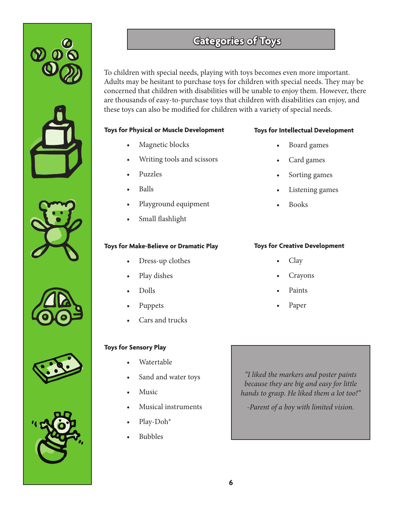











# **Categories of Toys**

To children with special needs, playing with toys becomes even more important. Adults may be hesitant to purchase toys for children with special needs. They may be concerned that children with disabilities will be unable to enjoy them. However, there are thousands of easy-to-purchase toys that children with disabilities can enjoy, and these toys can also be modified for children with a variety of special needs.

#### **Toys for Physical or Muscle Development**

- Magnetic blocks
- Writing tools and scissors
- Puzzles
- Balls
- Playground equipment
- Small flashlight

#### **Toys for Make-Believe or Dramatic Play**

- Dress-up clothes
- Play dishes
- Dolls
- Puppets
- Cars and trucks

## **Toys for Sensory Play**

- Watertable
- Sand and water toys
- **Music**
- Musical instruments
- Play-Doh®
- Bubbles

*"I liked the markers and poster paints because they are big and easy for little hands to grasp. He liked them a lot too!"*

*-Parent of a boy with limited vision.*

#### **Toys for Intellectual Development**

- Board games
- Card games
- Sorting games
- Listening games
- Books

#### **Toys for Creative Development**

- Clay
- **Crayons**
- Paints
- Paper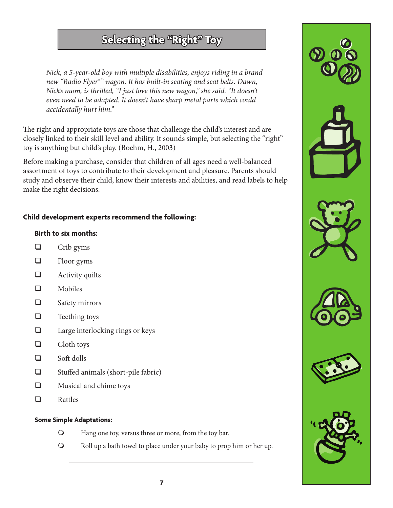## **Selecting the "Right" Toy**

*Nick, a 5-year-old boy with multiple disabilities, enjoys riding in a brand new "Radio Flyer®" wagon. It has built-in seating and seat belts. Dawn, Nick's mom, is thrilled, "I just love this new wagon," she said. "It doesn't even need to be adapted. It doesn't have sharp metal parts which could accidentally hurt him."*

The right and appropriate toys are those that challenge the child's interest and are closely linked to their skill level and ability. It sounds simple, but selecting the "right" toy is anything but child's play. (Boehm, H., 2003)

Before making a purchase, consider that children of all ages need a well-balanced assortment of toys to contribute to their development and pleasure. Parents should study and observe their child, know their interests and abilities, and read labels to help make the right decisions.

### **Child development experts recommend the following:**

#### **Birth to six months:**

- $\Box$  Crib gyms
- $\Box$  Floor gyms
- $\Box$  Activity quilts
- Mobiles
- □ Safety mirrors
- $\Box$  Teething toys
- $\Box$  Large interlocking rings or keys
- $\Box$  Cloth toys
- $\Box$  Soft dolls
- □ Stuffed animals (short-pile fabric)
- **Q** Musical and chime toys
- □ Rattles

#### **Some Simple Adaptations:**

- **O** Hang one toy, versus three or more, from the toy bar.
- **O** Roll up a bath towel to place under your baby to prop him or her up.











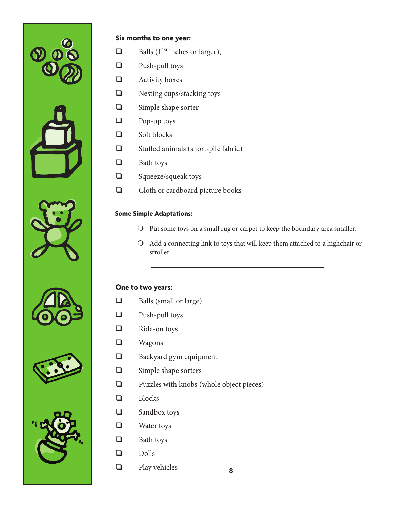



#### **Six months to one year:**

- $\Box$  Balls (1<sup>3/4</sup> inches or larger),
- Push-pull toys
- **Q** Activity boxes
- Nesting cups/stacking toys
- $\Box$  Simple shape sorter
- $\Box$  Pop-up toys
- $\Box$  Soft blocks
- □ Stuffed animals (short-pile fabric)
- $\Box$  Bath toys
- $\Box$  Squeeze/squeak toys
- Cloth or cardboard picture books

## **Some Simple Adaptations:**

- O Put some toys on a small rug or carpet to keep the boundary area smaller.
- $\Omega$  Add a connecting link to toys that will keep them attached to a highchair or stroller.

#### **One to two years:**

- $\Box$  Balls (small or large)
- Push-pull toys
- Ride-on toys
- **u** Wagons
- **Backyard gym equipment**
- $\Box$  Simple shape sorters
- $\Box$  Puzzles with knobs (whole object pieces)

**8**

- **D** Blocks
- Sandbox toys
- Water toys
- $\Box$  Bath toys
- Dolls
- $\Box$  Play vehicles







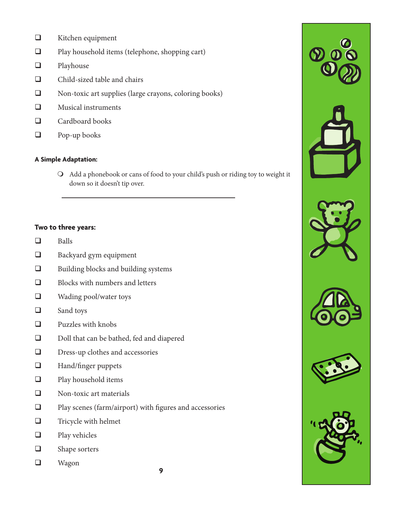- **u** Kitchen equipment
- Play household items (telephone, shopping cart)
- **D** Playhouse
- Child-sized table and chairs
- Non-toxic art supplies (large crayons, coloring books)
- **Nusical instruments**
- $\Box$  Cardboard books
- **D** Pop-up books

#### **A Simple Adaptation:**

 $\Omega$  Add a phonebook or cans of food to your child's push or riding toy to weight it down so it doesn't tip over.

#### **Two to three years:**

- $\Box$  Balls
- $\Box$  Backyard gym equipment
- $\Box$  Building blocks and building systems
- $\Box$  Blocks with numbers and letters
- Wading pool/water toys
- □ Sand toys
- **Q** Puzzles with knobs
- Doll that can be bathed, fed and diapered
- Dress-up clothes and accessories
- **Hand/finger puppets**
- **Q** Play household items
- Non-toxic art materials
- $\square$  Play scenes (farm/airport) with figures and accessories
- $\Box$  Tricycle with helmet
- $\Box$  Play vehicles
- $\Box$  Shape sorters
- Wagon









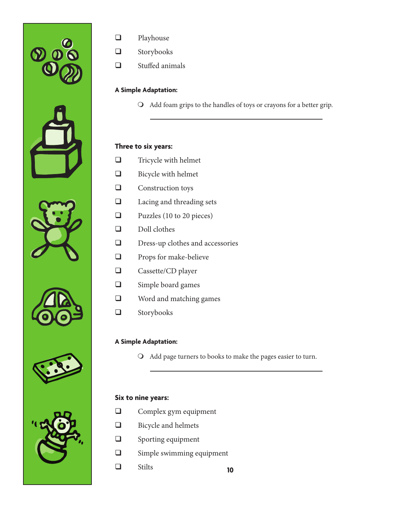











- **Q** Playhouse
- **a** Storybooks
- Stuffed animals

## **A Simple Adaptation:**

**O** Add foam grips to the handles of toys or crayons for a better grip.

#### **Three to six years:**

- Tricycle with helmet
- $\Box$  Bicycle with helmet
- **Q** Construction toys
- □ Lacing and threading sets
- $\Box$  Puzzles (10 to 20 pieces)
- Doll clothes
- $\square$  Dress-up clothes and accessories
- **Q** Props for make-believe
- **Q** Cassette/CD player
- $\Box$  Simple board games
- Word and matching games
- **a** Storybooks

#### **A Simple Adaptation:**

O Add page turners to books to make the pages easier to turn.

#### **Six to nine years:**

- **Q** Complex gym equipment
- **Bicycle and helmets**
- $\Box$  Sporting equipment
- $\Box$  Simple swimming equipment
- **10** Stilts **10**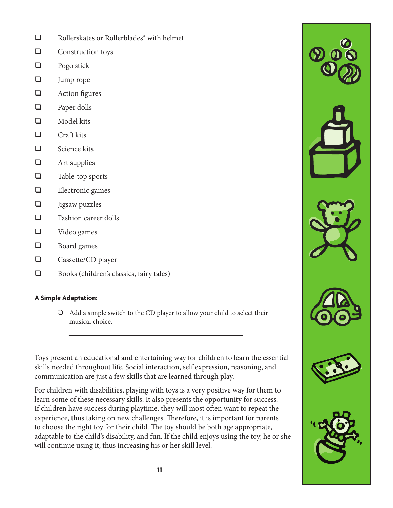- □ Rollerskates or Rollerblades<sup>®</sup> with helmet
- $\Box$  Construction toys
- $\Box$  Pogo stick
- $\Box$  Jump rope
- $\Box$  Action figures
- □ Paper dolls
- $\Box$  Model kits
- $\Box$  Craft kits
- $\Box$  Science kits
- $\Box$  Art supplies
- $\Box$  Table-top sports
- $\Box$  Electronic games
- $\Box$  Jigsaw puzzles
- $\Box$  Fashion career dolls
- Video games
- **Board games**
- □ Cassette/CD player
- Books (children's classics, fairy tales)

#### **A Simple Adaptation:**

 $\bigcirc$  Add a simple switch to the CD player to allow your child to select their musical choice.

Toys present an educational and entertaining way for children to learn the essential skills needed throughout life. Social interaction, self expression, reasoning, and communication are just a few skills that are learned through play.

For children with disabilities, playing with toys is a very positive way for them to learn some of these necessary skills. It also presents the opportunity for success. If children have success during playtime, they will most often want to repeat the experience, thus taking on new challenges. Therefore, it is important for parents to choose the right toy for their child. The toy should be both age appropriate, adaptable to the child's disability, and fun. If the child enjoys using the toy, he or she will continue using it, thus increasing his or her skill level.